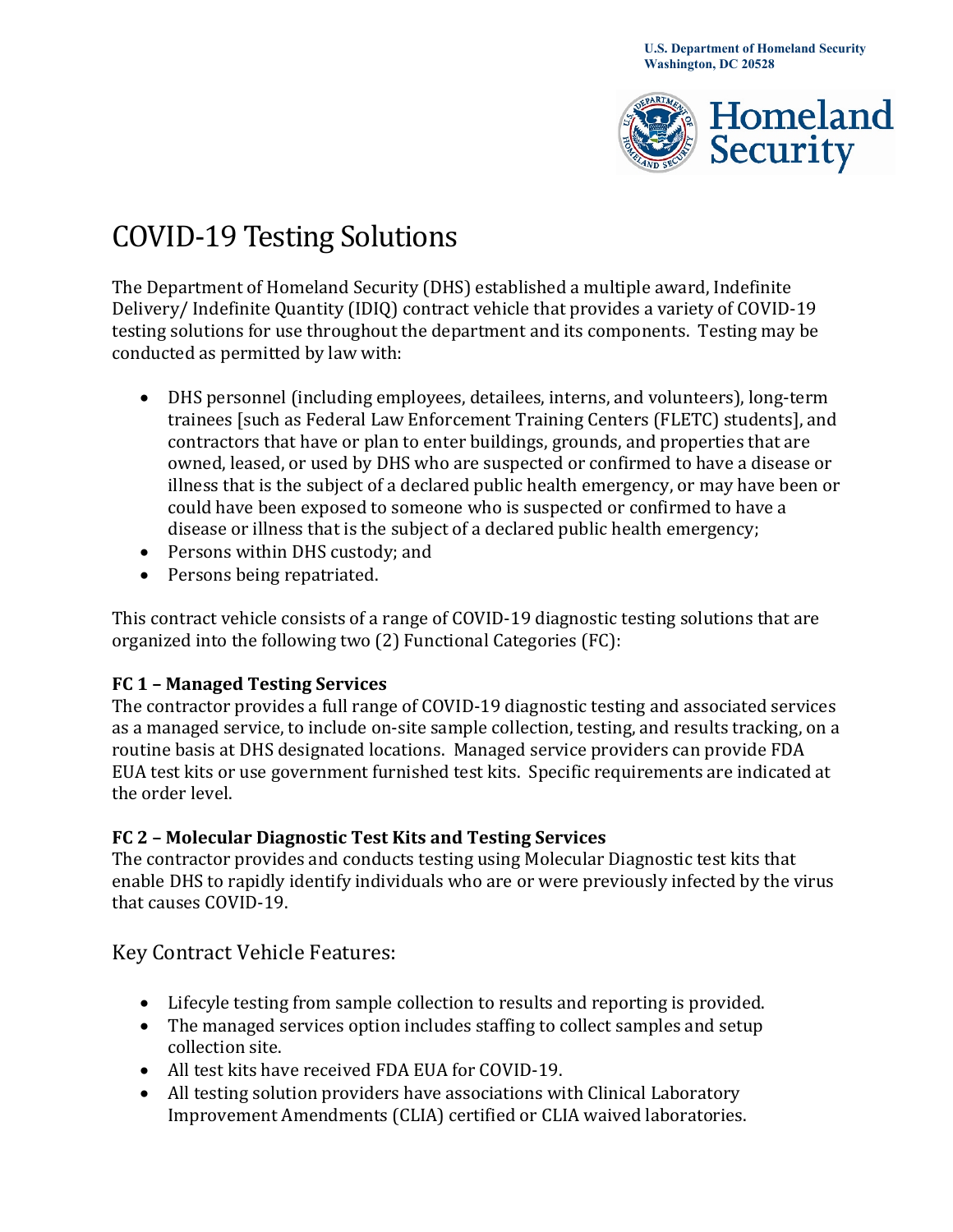

# COVID-19 Testing Solutions

 Delivery/ Indefinite Quantity (IDIQ) contract vehicle that provides a variety of COVID-19 testing solutions for use throughout the department and its components. Testing may be The Department of Homeland Security (DHS) established a multiple award, Indefinite conducted as permitted by law with:

- trainees [such as Federal Law Enforcement Training Centers (FLETC) students], and • DHS personnel (including employees, detailees, interns, and volunteers), long-term contractors that have or plan to enter buildings, grounds, and properties that are owned, leased, or used by DHS who are suspected or confirmed to have a disease or illness that is the subject of a declared public health emergency, or may have been or could have been exposed to someone who is suspected or confirmed to have a disease or illness that is the subject of a declared public health emergency;
- Persons within DHS custody; and
- Persons being repatriated.

This contract vehicle consists of a range of COVID-19 diagnostic testing solutions that are organized into the following two (2) Functional Categories (FC):

#### **FC 1 – Managed Testing Services**

The contractor provides a full range of COVID-19 diagnostic testing and associated services as a managed service, to include on-site sample collection, testing, and results tracking, on a routine basis at DHS designated locations. Managed service providers can provide FDA EUA test kits or use government furnished test kits. Specific requirements are indicated at the order level.

#### **FC 2 – Molecular Diagnostic Test Kits and Testing Services**

The contractor provides and conducts testing using Molecular Diagnostic test kits that enable DHS to rapidly identify individuals who are or were previously infected by the virus that causes COVID-19.

## Key Contract Vehicle Features:

- Lifecyle testing from sample collection to results and reporting is provided.
- The managed services option includes staffing to collect samples and setup collection site.
- All test kits have received FDA EUA for COVID-19.
- All testing solution providers have associations with Clinical Laboratory Improvement Amendments (CLIA) certified or CLIA waived laboratories.